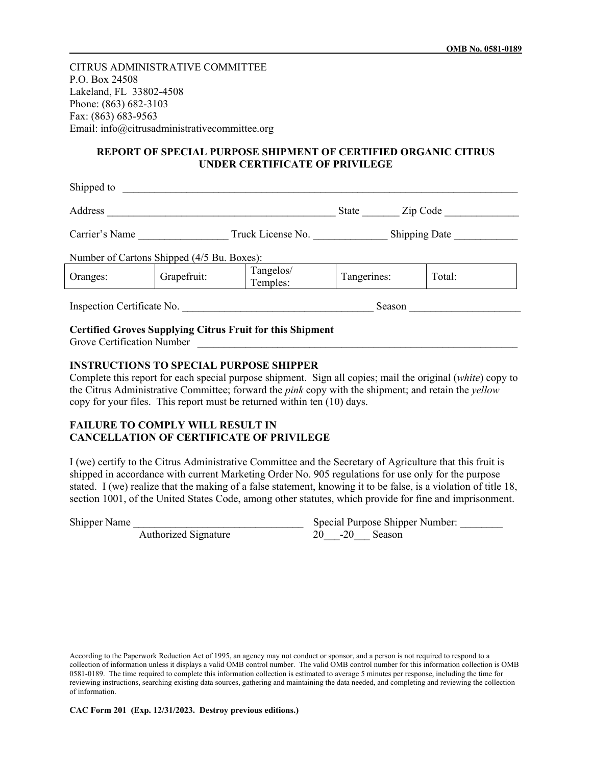CITRUS ADMINISTRATIVE COMMITTEE P.O. Box 24508 Lakeland, FL 33802-4508 Phone: (863) 682-3103 Fax: (863) 683-9563 Email: info@citrusadministrativecommittee.org

## **REPORT OF SPECIAL PURPOSE SHIPMENT OF CERTIFIED ORGANIC CITRUS UNDER CERTIFICATE OF PRIVILEGE**

| Shipped to                 |                                            |                       |               |        |
|----------------------------|--------------------------------------------|-----------------------|---------------|--------|
| Address                    |                                            | Zip Code<br>State     |               |        |
| Carrier's Name             |                                            | Truck License No.     | Shipping Date |        |
|                            | Number of Cartons Shipped (4/5 Bu. Boxes): |                       |               |        |
| Oranges:                   | Grapefruit:                                | Tangelos/<br>Temples: | Tangerines:   | Total: |
| Inspection Certificate No. |                                            | Season                |               |        |

## **Certified Groves Supplying Citrus Fruit for this Shipment**

Grove Certification Number

## **INSTRUCTIONS TO SPECIAL PURPOSE SHIPPER**

Complete this report for each special purpose shipment. Sign all copies; mail the original (*white*) copy to the Citrus Administrative Committee; forward the *pink* copy with the shipment; and retain the *yellow* copy for your files. This report must be returned within ten (10) days.

## **FAILURE TO COMPLY WILL RESULT IN CANCELLATION OF CERTIFICATE OF PRIVILEGE**

I (we) certify to the Citrus Administrative Committee and the Secretary of Agriculture that this fruit is shipped in accordance with current Marketing Order No. 905 regulations for use only for the purpose stated. I (we) realize that the making of a false statement, knowing it to be false, is a violation of title 18, section 1001, of the United States Code, among other statutes, which provide for fine and imprisonment.

Shipper Name \_\_\_\_\_\_\_\_\_\_\_\_\_\_\_\_\_\_\_\_\_\_\_\_\_\_\_\_\_\_\_\_ Special Purpose Shipper Number: \_\_\_\_\_\_\_\_ Authorized Signature  $20$  -20 Season

According to the Paperwork Reduction Act of 1995, an agency may not conduct or sponsor, and a person is not required to respond to a collection of information unless it displays a valid OMB control number. The valid OMB control number for this information collection is OMB 0581-0189. The time required to complete this information collection is estimated to average 5 minutes per response, including the time for reviewing instructions, searching existing data sources, gathering and maintaining the data needed, and completing and reviewing the collection of information.

**CAC Form 201 (Exp. 12/31/2023. Destroy previous editions.)**